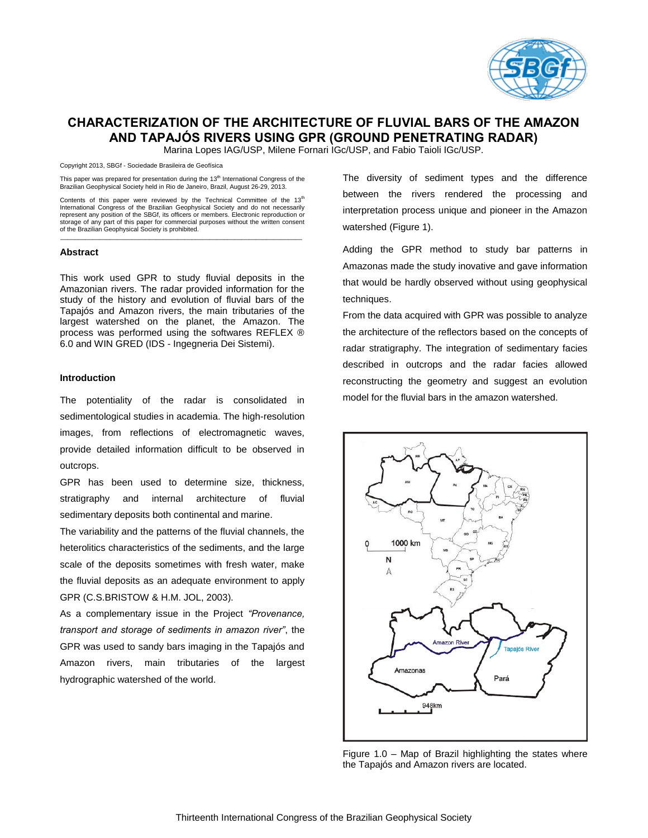

# **CHARACTERIZATION OF THE ARCHITECTURE OF FLUVIAL BARS OF THE AMAZON AND TAPAJÓS RIVERS USING GPR (GROUND PENETRATING RADAR)**

Marina Lopes IAG/USP, Milene Fornari IGc/USP, and Fabio Taioli IGc/USP.

Copyright 2013, SBGf - Sociedade Brasileira de Geofísica

This paper was prepared for presentation during the 13<sup>th</sup> International Congress of the Brazilian Geophysical Society held in Rio de Janeiro, Brazil, August 26-29, 2013.

Contents of this paper were reviewed by the Technical Committee of the  $13<sup>th</sup>$ International Congress of the Brazilian Geophysical Society and do not necessarily represent any position of the SBGf, its officers or members. Electronic reproduction or storage of any part of this paper for commercial purposes without the written consent of the Brazilian Geophysical Society is prohibited.

\_\_\_\_\_\_\_\_\_\_\_\_\_\_\_\_\_\_\_\_\_\_\_\_\_\_\_\_\_\_\_\_\_\_\_\_\_\_\_\_\_\_\_\_\_\_\_\_\_\_\_\_\_\_\_\_\_\_\_\_\_\_\_\_\_\_\_\_

#### **Abstract**

This work used GPR to study fluvial deposits in the Amazonian rivers. The radar provided information for the study of the history and evolution of fluvial bars of the Tapajós and Amazon rivers, the main tributaries of the largest watershed on the planet, the Amazon. The process was performed using the softwares REFLEX ® 6.0 and WIN GRED (IDS - Ingegneria Dei Sistemi).

### **Introduction**

The potentiality of the radar is consolidated in sedimentological studies in academia. The high-resolution images, from reflections of electromagnetic waves, provide detailed information difficult to be observed in outcrops.

GPR has been used to determine size, thickness, stratigraphy and internal architecture of fluvial sedimentary deposits both continental and marine.

The variability and the patterns of the fluvial channels, the heterolitics characteristics of the sediments, and the large scale of the deposits sometimes with fresh water, make the fluvial deposits as an adequate environment to apply GPR (C.S.BRISTOW & H.M. JOL, 2003).

As a complementary issue in the Project *"Provenance, transport and storage of sediments in amazon river"*, the GPR was used to sandy bars imaging in the Tapajós and Amazon rivers, main tributaries of the largest hydrographic watershed of the world.

The diversity of sediment types and the difference between the rivers rendered the processing and interpretation process unique and pioneer in the Amazon watershed (Figure 1).

Adding the GPR method to study bar patterns in Amazonas made the study inovative and gave information that would be hardly observed without using geophysical techniques.

From the data acquired with GPR was possible to analyze the architecture of the reflectors based on the concepts of radar stratigraphy. The integration of sedimentary facies described in outcrops and the radar facies allowed reconstructing the geometry and suggest an evolution model for the fluvial bars in the amazon watershed.



Figure 1.0 – Map of Brazil highlighting the states where the Tapajós and Amazon rivers are located.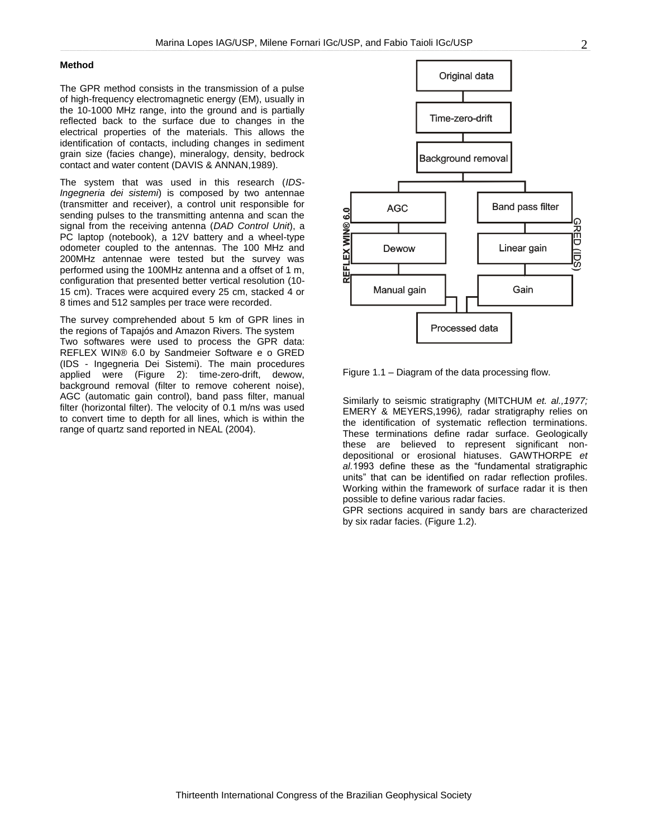## **Method**

The GPR method consists in the transmission of a pulse of high-frequency electromagnetic energy (EM), usually in the 10-1000 MHz range, into the ground and is partially reflected back to the surface due to changes in the electrical properties of the materials. This allows the identification of contacts, including changes in sediment grain size (facies change), mineralogy, density, bedrock contact and water content (DAVIS & ANNAN,1989).

The system that was used in this research (*IDS-Ingegneria dei sistemi*) is composed by two antennae (transmitter and receiver), a control unit responsible for sending pulses to the transmitting antenna and scan the signal from the receiving antenna (*DAD Control Unit*), a PC laptop (notebook), a 12V battery and a wheel-type odometer coupled to the antennas. The 100 MHz and 200MHz antennae were tested but the survey was performed using the 100MHz antenna and a offset of 1 m, configuration that presented better vertical resolution (10- 15 cm). Traces were acquired every 25 cm, stacked 4 or 8 times and 512 samples per trace were recorded.

The survey comprehended about 5 km of GPR lines in the regions of Tapajós and Amazon Rivers. The system Two softwares were used to process the GPR data: REFLEX WIN® 6.0 by Sandmeier Software e o GRED (IDS - Ingegneria Dei Sistemi). The main procedures applied were (Figure 2): time-zero-drift, dewow, background removal (filter to remove coherent noise), AGC (automatic gain control), band pass filter, manual filter (horizontal filter). The velocity of 0.1 m/ns was used to convert time to depth for all lines, which is within the range of quartz sand reported in NEAL (2004).



Figure 1.1 – Diagram of the data processing flow.

Similarly to seismic stratigraphy (MITCHUM *et. al.,1977;* EMERY & MEYERS,1996*),* radar stratigraphy relies on the identification of systematic reflection terminations. These terminations define radar surface. Geologically these are believed to represent significant nondepositional or erosional hiatuses. GAWTHORPE *et al.*1993 define these as the "fundamental stratigraphic units" that can be identified on radar reflection profiles. Working within the framework of surface radar it is then possible to define various radar facies.

GPR sections acquired in sandy bars are characterized by six radar facies. (Figure 1.2).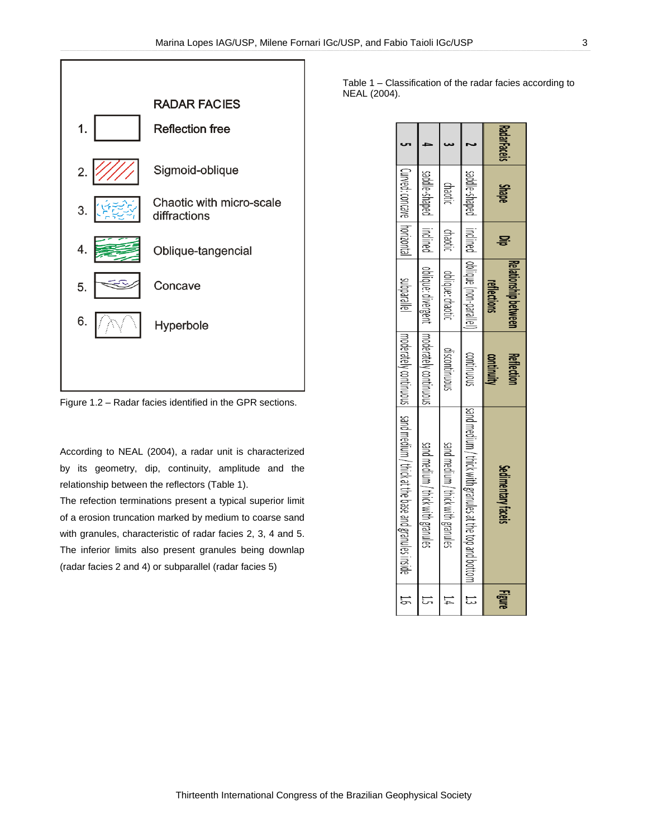

Figure 1.2 – Radar facies identified in the GPR sections.

According to NEAL (2004), a radar unit is characterized by its geometry, dip, continuity, amplitude and the relationship between the reflectors (Table 1).

The refection terminations present a typical superior limit of a erosion truncation marked by medium to coarse sand with granules, characteristic of radar facies 2, 3, 4 and 5. The inferior limits also present granules being downlap (radar facies 2 and 4) or subparallel (radar facies 5)

Table 1 – Classification of the radar facies according to NEAL (2004).

| <b>RadarFaceis</b> | <b>Shape</b>                 | 묳        | Relationship between<br>reflections | <b>Reflection</b><br>continuity            | Sedimentary faceis                                                            | <b>Figure</b> |
|--------------------|------------------------------|----------|-------------------------------------|--------------------------------------------|-------------------------------------------------------------------------------|---------------|
|                    | bagin-shaped                 | inclined | oblique (non-parallel)              | continuous                                 | lsand medium / thick with granules at the top and bottom                      | こ             |
|                    | chaotic                      | chaotic  | oblique: chaotic                    | discontinuous                              | sand medium / thick with granules                                             | 14            |
|                    | badle-shaped   inclined      |          |                                     | oblique: divergent   moderately continuous | sand medium / thick with granules                                             | <u>ដ</u>      |
|                    | Curved: concave   horizontal |          | <b>Subarallel</b>                   |                                            | Impoderately continuous I sand medium / thick at the base and granules inside | 55            |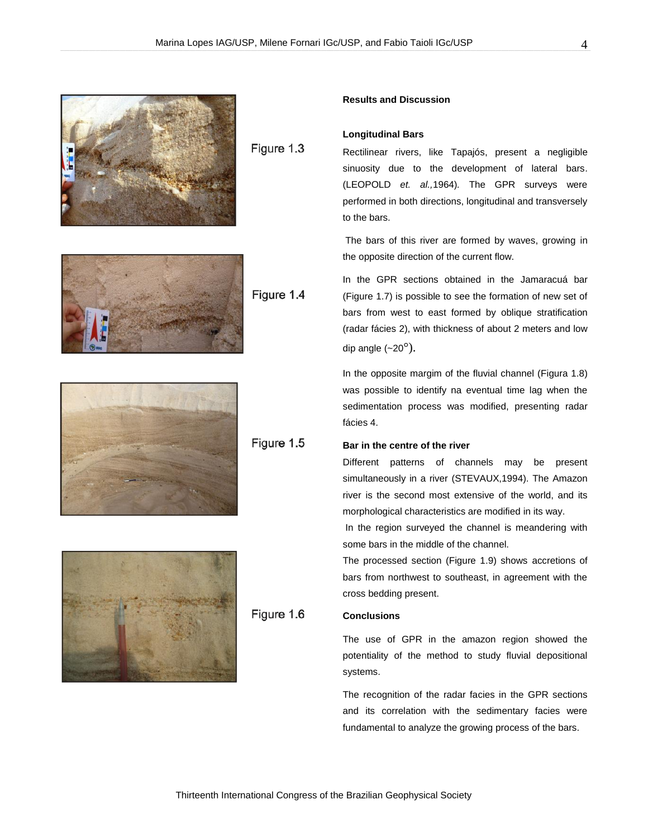

Figure 1.3



Figure 1.4



Figure 1.5



Figure 1.6

## **Results and Discussion**

## **Longitudinal Bars**

Rectilinear rivers, like Tapajós, present a negligible sinuosity due to the development of lateral bars. (LEOPOLD *et. al.,*1964)*.* The GPR surveys were performed in both directions, longitudinal and transversely to the bars.

The bars of this river are formed by waves, growing in the opposite direction of the current flow.

In the GPR sections obtained in the Jamaracuá bar (Figure 1.7) is possible to see the formation of new set of bars from west to east formed by oblique stratification (radar fácies 2), with thickness of about 2 meters and low dip angle  $(-20^\circ)$ .

In the opposite margim of the fluvial channel (Figura 1.8) was possible to identify na eventual time lag when the sedimentation process was modified, presenting radar fácies 4.

# **Bar in the centre of the river**

Different patterns of channels may be present simultaneously in a river (STEVAUX,1994). The Amazon river is the second most extensive of the world, and its morphological characteristics are modified in its way.

In the region surveyed the channel is meandering with some bars in the middle of the channel.

The processed section (Figure 1.9) shows accretions of bars from northwest to southeast, in agreement with the cross bedding present.

# **Conclusions**

The use of GPR in the amazon region showed the potentiality of the method to study fluvial depositional systems.

The recognition of the radar facies in the GPR sections and its correlation with the sedimentary facies were fundamental to analyze the growing process of the bars.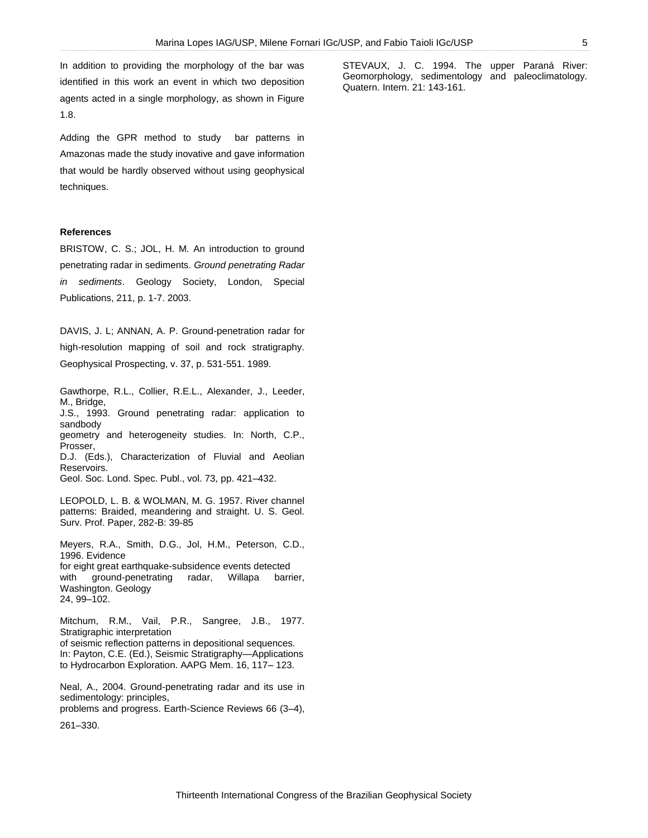In addition to providing the morphology of the bar was identified in this work an event in which two deposition agents acted in a single morphology, as shown in Figure 1.8.

Adding the GPR method to study bar patterns in Amazonas made the study inovative and gave information that would be hardly observed without using geophysical techniques.

#### **References**

BRISTOW, C. S.; JOL, H. M. An introduction to ground penetrating radar in sediments. *Ground penetrating Radar in sediments*. Geology Society, London, Special Publications, 211, p. 1-7. 2003.

DAVIS, J. L; ANNAN, A. P. Ground-penetration radar for high-resolution mapping of soil and rock stratigraphy. Geophysical Prospecting, v. 37, p. 531-551. 1989.

Gawthorpe, R.L., Collier, R.E.L., Alexander, J., Leeder, M., Bridge, J.S., 1993. Ground penetrating radar: application to sandbody geometry and heterogeneity studies. In: North, C.P., Prosser, D.J. (Eds.), Characterization of Fluvial and Aeolian Reservoirs.

Geol. Soc. Lond. Spec. Publ., vol. 73, pp. 421–432.

LEOPOLD, L. B. & WOLMAN, M. G. 1957. River channel patterns: Braided, meandering and straight. U. S. Geol. Surv. Prof. Paper, 282-B: 39-85

Meyers, R.A., Smith, D.G., Jol, H.M., Peterson, C.D., 1996. Evidence for eight great earthquake-subsidence events detected with ground-penetrating radar, Willapa barrier, Washington. Geology 24, 99–102.

Mitchum, R.M., Vail, P.R., Sangree, J.B., 1977. Stratigraphic interpretation of seismic reflection patterns in depositional sequences. In: Payton, C.E. (Ed.), Seismic Stratigraphy—Applications to Hydrocarbon Exploration. AAPG Mem. 16, 117– 123.

Neal, A., 2004. Ground-penetrating radar and its use in sedimentology: principles, problems and progress. Earth-Science Reviews 66 (3–4),

261–330.

STEVAUX, J. C. 1994. The upper Paraná River: Geomorphology, sedimentology and paleoclimatology. Quatern. Intern. 21: 143-161.